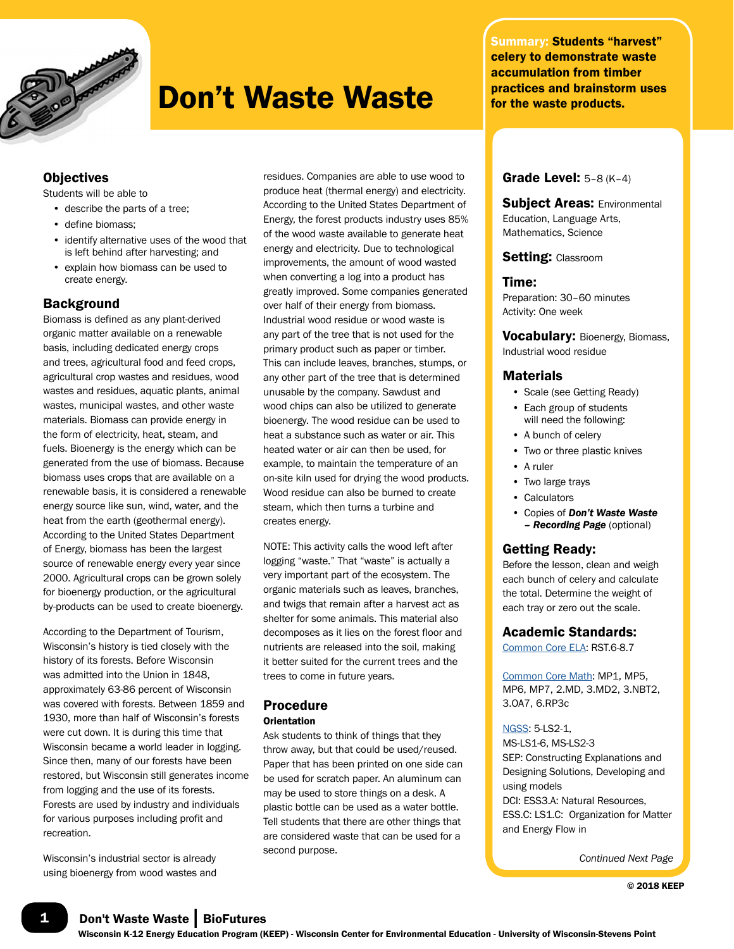

## Don't Waste Waste

## **Objectives**

Students will be able to

- describe the parts of a tree;
- define biomass;
- identify alternative uses of the wood that is left behind after harvesting; and
- explain how biomass can be used to create energy.

### **Background**

Biomass is defined as any plant-derived organic matter available on a renewable basis, including dedicated energy crops and trees, agricultural food and feed crops, agricultural crop wastes and residues, wood wastes and residues, aquatic plants, animal wastes, municipal wastes, and other waste materials. Biomass can provide energy in the form of electricity, heat, steam, and fuels. Bioenergy is the energy which can be generated from the use of biomass. Because biomass uses crops that are available on a renewable basis, it is considered a renewable energy source like sun, wind, water, and the heat from the earth (geothermal energy). According to the United States Department of Energy, biomass has been the largest source of renewable energy every year since 2000. Agricultural crops can be grown solely for bioenergy production, or the agricultural by-products can be used to create bioenergy.

According to the Department of Tourism, Wisconsin's history is tied closely with the history of its forests. Before Wisconsin was admitted into the Union in 1848, approximately 63-86 percent of Wisconsin was covered with forests. Between 1859 and 1930, more than half of Wisconsin's forests were cut down. It is during this time that Wisconsin became a world leader in logging. Since then, many of our forests have been restored, but Wisconsin still generates income from logging and the use of its forests. Forests are used by industry and individuals for various purposes including profit and recreation.

Wisconsin's industrial sector is already using bioenergy from wood wastes and

residues. Companies are able to use wood to produce heat (thermal energy) and electricity. According to the United States Department of Energy, the forest products industry uses 85% of the wood waste available to generate heat energy and electricity. Due to technological improvements, the amount of wood wasted when converting a log into a product has greatly improved. Some companies generated over half of their energy from biomass. Industrial wood residue or wood waste is any part of the tree that is not used for the primary product such as paper or timber. This can include leaves, branches, stumps, or any other part of the tree that is determined unusable by the company. Sawdust and wood chips can also be utilized to generate bioenergy. The wood residue can be used to heat a substance such as water or air. This heated water or air can then be used, for example, to maintain the temperature of an on-site kiln used for drying the wood products. Wood residue can also be burned to create steam, which then turns a turbine and creates energy.

NOTE: This activity calls the wood left after logging "waste." That "waste" is actually a very important part of the ecosystem. The organic materials such as leaves, branches, and twigs that remain after a harvest act as shelter for some animals. This material also decomposes as it lies on the forest floor and nutrients are released into the soil, making it better suited for the current trees and the trees to come in future years.

## Procedure

#### **Orientation**

Ask students to think of things that they throw away, but that could be used/reused. Paper that has been printed on one side can be used for scratch paper. An aluminum can may be used to store things on a desk. A plastic bottle can be used as a water bottle. Tell students that there are other things that are considered waste that can be used for a second purpose.

Summary: Students "harvest" celery to demonstrate waste accumulation from timber practices and brainstorm uses for the waste products.

## Grade Level: 5–8 (K–4)

Subject Areas: Environmental Education, Language Arts, Mathematics, Science

#### Setting: Classroom

#### Time:

Preparation: 30–60 minutes Activity: One week

Vocabulary: Bioenergy, Biomass, Industrial wood residue

#### **Materials**

- Scale (see Getting Ready)
- Each group of students will need the following:
- A bunch of celery
- Two or three plastic knives
- A ruler
- Two large trays
- Calculators
- Copies of *Don't Waste Waste – Recording Page* (optional)

#### Getting Ready:

Before the lesson, clean and weigh each bunch of celery and calculate the total. Determine the weight of each tray or zero out the scale.

#### Academic Standards:

[Common Core ELA:](http://www.uwsp.edu/cnr-ap/KEEP/Documents/Activities/Standards/CommonCoreELA_Standards.pdf) RST.6-8.7

[Common Core Math](http://www.uwsp.edu/cnr-ap/KEEP/Documents/Activities/Standards/CommonCoreMath_Standards.pdf): MP1, MP5, MP6, MP7, 2.MD, 3.MD2, 3.NBT2, 3.OA7, 6.RP3c

#### [NGSS](http://www.uwsp.edu/cnr-ap/KEEP/Documents/Activities/Standards/NGSS.pdf): 5-LS2-1,

MS-LS1-6, MS-LS2-3 SEP: Constructing Explanations and Designing Solutions, Developing and using models DCI: ESS3.A: Natural Resources, ESS.C: LS1.C: Organization for Matter and Energy Flow in

*Continued Next Page*

1 Don't Waste Waste | BioFutures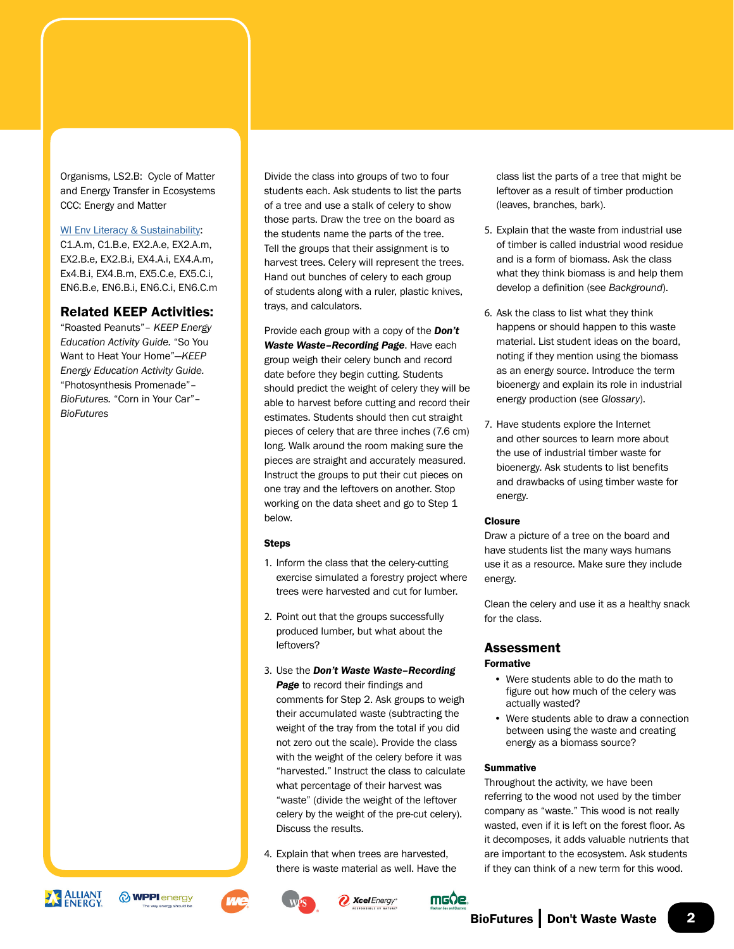Organisms, LS2.B: Cycle of Matter and Energy Transfer in Ecosystems CCC: Energy and Matter

#### [WI Env Literacy & Sustainability](https://dpi.wi.gov/environmental-ed/standards):

C1.A.m, C1.B.e, EX2.A.e, EX2.A.m, EX2.B.e, EX2.B.i, EX4.A.i, EX4.A.m, Ex4.B.i, EX4.B.m, EX5.C.e, EX5.C.i, EN6.B.e, EN6.B.i, EN6.C.i, EN6.C.m

## Related KEEP Activities:

"Roasted Peanuts"– *KEEP Energy Education Activity Guide.* "So You Want to Heat Your Home"—*KEEP Energy Education Activity Guide.*  "Photosynthesis Promenade"– *BioFutures.* "Corn in Your Car"– *BioFutures*

Divide the class into groups of two to four students each. Ask students to list the parts of a tree and use a stalk of celery to show those parts. Draw the tree on the board as the students name the parts of the tree. Tell the groups that their assignment is to harvest trees. Celery will represent the trees. Hand out bunches of celery to each group of students along with a ruler, plastic knives, trays, and calculators.

Provide each group with a copy of the *Don't Waste Waste–Recording Page*. Have each group weigh their celery bunch and record date before they begin cutting. Students should predict the weight of celery they will be able to harvest before cutting and record their estimates. Students should then cut straight pieces of celery that are three inches (7.6 cm) long. Walk around the room making sure the pieces are straight and accurately measured. Instruct the groups to put their cut pieces on one tray and the leftovers on another. Stop working on the data sheet and go to Step 1 below.

#### Steps

- 1. Inform the class that the celery-cutting exercise simulated a forestry project where trees were harvested and cut for lumber.
- 2. Point out that the groups successfully produced lumber, but what about the leftovers?
- 3. Use the *Don't Waste Waste–Recording*  **Page** to record their findings and comments for Step 2. Ask groups to weigh their accumulated waste (subtracting the weight of the tray from the total if you did not zero out the scale). Provide the class with the weight of the celery before it was "harvested." Instruct the class to calculate what percentage of their harvest was "waste" (divide the weight of the leftover celery by the weight of the pre-cut celery). Discuss the results.
- 4. Explain that when trees are harvested, there is waste material as well. Have the

class list the parts of a tree that might be leftover as a result of timber production (leaves, branches, bark).

- 5. Explain that the waste from industrial use of timber is called industrial wood residue and is a form of biomass. Ask the class what they think biomass is and help them develop a definition (see *Background*).
- 6. Ask the class to list what they think happens or should happen to this waste material. List student ideas on the board, noting if they mention using the biomass as an energy source. Introduce the term bioenergy and explain its role in industrial energy production (see *Glossary*).
- 7. Have students explore the Internet and other sources to learn more about the use of industrial timber waste for bioenergy. Ask students to list benefits and drawbacks of using timber waste for energy.

#### **Closure**

Draw a picture of a tree on the board and have students list the many ways humans use it as a resource. Make sure they include energy.

Clean the celery and use it as a healthy snack for the class.

#### Assessment Formative

- Were students able to do the math to figure out how much of the celery was actually wasted?
- Were students able to draw a connection between using the waste and creating energy as a biomass source?

#### **Summative**

Throughout the activity, we have been referring to the wood not used by the timber company as "waste." This wood is not really wasted, even if it is left on the forest floor. As it decomposes, it adds valuable nutrients that are important to the ecosystem. Ask students if they can think of a new term for this wood.











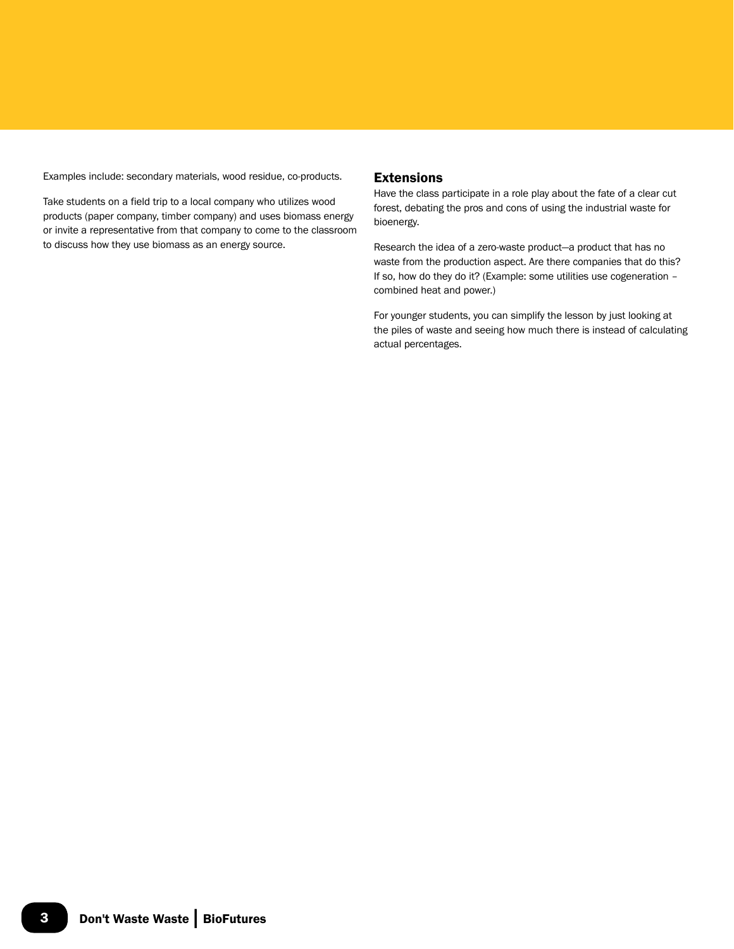Examples include: secondary materials, wood residue, co-products.

Take students on a field trip to a local company who utilizes wood products (paper company, timber company) and uses biomass energy or invite a representative from that company to come to the classroom to discuss how they use biomass as an energy source.

### Extensions

Have the class participate in a role play about the fate of a clear cut forest, debating the pros and cons of using the industrial waste for bioenergy.

Research the idea of a zero-waste product—a product that has no waste from the production aspect. Are there companies that do this? If so, how do they do it? (Example: some utilities use cogeneration – combined heat and power.)

For younger students, you can simplify the lesson by just looking at the piles of waste and seeing how much there is instead of calculating actual percentages.